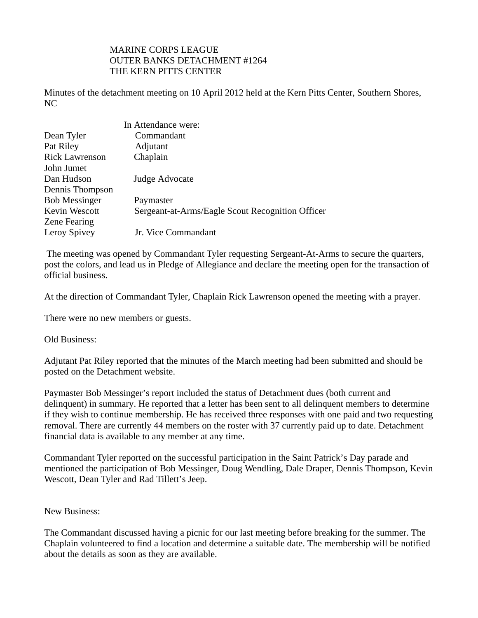## MARINE CORPS LEAGUE OUTER BANKS DETACHMENT #1264 THE KERN PITTS CENTER

Minutes of the detachment meeting on 10 April 2012 held at the Kern Pitts Center, Southern Shores, NC

|                       | In Attendance were:                              |
|-----------------------|--------------------------------------------------|
| Dean Tyler            | Commandant                                       |
| Pat Riley             | Adjutant                                         |
| <b>Rick Lawrenson</b> | Chaplain                                         |
| John Jumet            |                                                  |
| Dan Hudson            | Judge Advocate                                   |
| Dennis Thompson       |                                                  |
| <b>Bob Messinger</b>  | Paymaster                                        |
| Kevin Wescott         | Sergeant-at-Arms/Eagle Scout Recognition Officer |
| <b>Zene Fearing</b>   |                                                  |
| Leroy Spivey          | Jr. Vice Commandant                              |

 The meeting was opened by Commandant Tyler requesting Sergeant-At-Arms to secure the quarters, post the colors, and lead us in Pledge of Allegiance and declare the meeting open for the transaction of official business.

At the direction of Commandant Tyler, Chaplain Rick Lawrenson opened the meeting with a prayer.

There were no new members or guests.

Old Business:

Adjutant Pat Riley reported that the minutes of the March meeting had been submitted and should be posted on the Detachment website.

Paymaster Bob Messinger's report included the status of Detachment dues (both current and delinquent) in summary. He reported that a letter has been sent to all delinquent members to determine if they wish to continue membership. He has received three responses with one paid and two requesting removal. There are currently 44 members on the roster with 37 currently paid up to date. Detachment financial data is available to any member at any time.

Commandant Tyler reported on the successful participation in the Saint Patrick's Day parade and mentioned the participation of Bob Messinger, Doug Wendling, Dale Draper, Dennis Thompson, Kevin Wescott, Dean Tyler and Rad Tillett's Jeep.

## New Business:

The Commandant discussed having a picnic for our last meeting before breaking for the summer. The Chaplain volunteered to find a location and determine a suitable date. The membership will be notified about the details as soon as they are available.